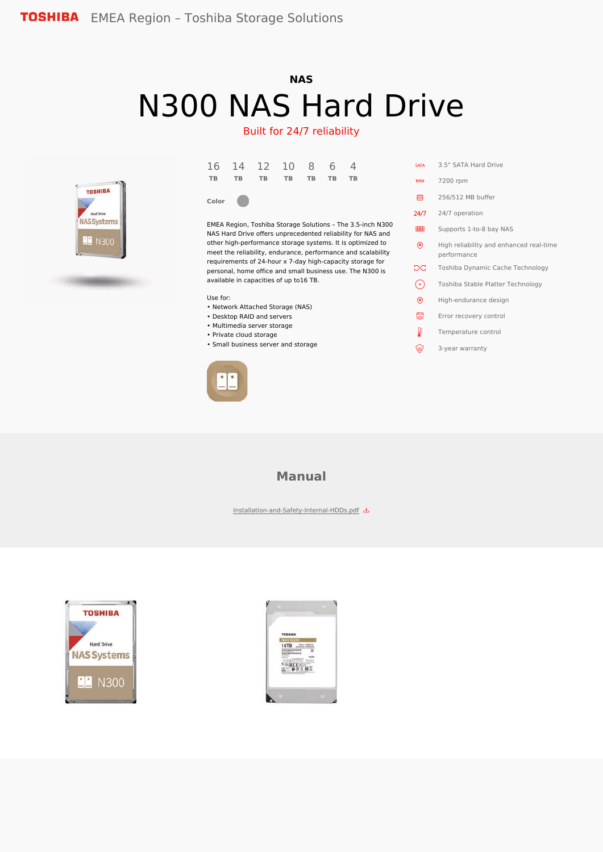# **NAS** N300 NAS Hard Drive

### Built for 24/7 reliability



| 16 14 12 10 8 6 4    |  |  |  |
|----------------------|--|--|--|
| TB TB TB TB TB TB TB |  |  |  |
|                      |  |  |  |

**Color**

EMEA Region, Toshiba Storage Solutions – The 3.5-inch N300 NAS Hard Drive offers unprecedented reliability for NAS and other high-performance storage systems. It is optimized to meet the reliability, endurance, performance and scalability requirements of 24-hour x 7-day high-capacity storage for personal, home office and small business use. The N300 is available in capacities of up to16 TB.

Use for:

- Network Attached Storage (NAS)
- Desktop RAID and servers
- Multimedia server storage
- Private cloud storage
- Small business server and storage



| <b>SATA</b> | 3.5" SATA Hard Drive                                   |
|-------------|--------------------------------------------------------|
| <b>RPM</b>  | 7200 rpm                                               |
| ⊟           | 256/512 MB buffer                                      |
| 24/7        | 24/7 operation                                         |
| <b>BBBB</b> | Supports 1-to-8 bay NAS                                |
| ම           | High reliability and enhanced real-time<br>performance |
| X           | Toshiba Dynamic Cache Technology                       |
| .°,         | Toshiba Stable Platter Technology                      |
| ම           | High-endurance design                                  |
| ۵           | Error recovery control                                 |
| JF          | Temperature control                                    |
| ۣ           | 3-year warranty                                        |

### **Manual**

[Installation-and-Safety-Internal-HDDs.pdf](https://www.toshiba-storage.com/wp-content/uploads/2021/03/Installation-and-Safety-Internal-HDDs.pdf)



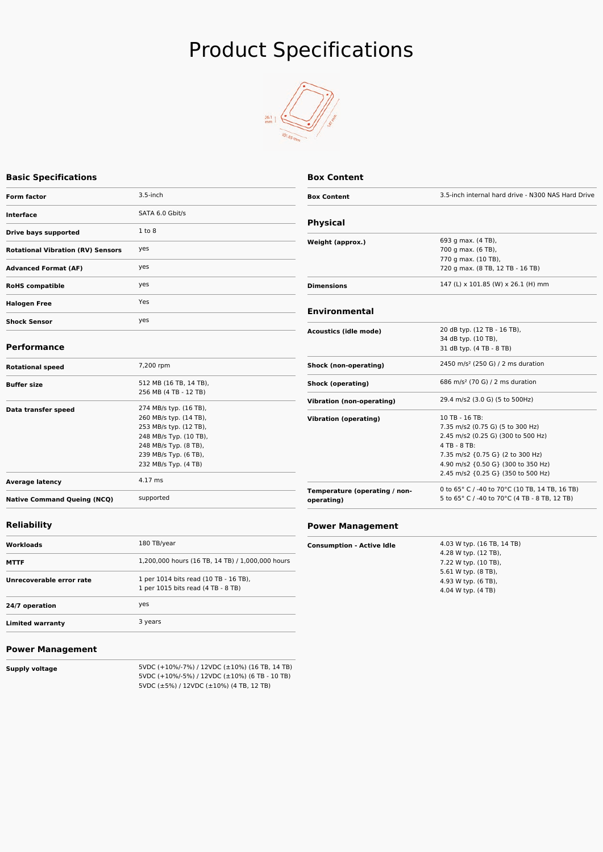# Product Specifications



#### **Basic Specifications**

| <b>Form factor</b>                       | $3.5$ -inch                                                                                                                                                                    |
|------------------------------------------|--------------------------------------------------------------------------------------------------------------------------------------------------------------------------------|
| <b>Interface</b>                         | SATA 6.0 Gbit/s                                                                                                                                                                |
| Drive bays supported                     | 1 to 8                                                                                                                                                                         |
| <b>Rotational Vibration (RV) Sensors</b> | yes                                                                                                                                                                            |
| <b>Advanced Format (AF)</b>              | yes                                                                                                                                                                            |
| <b>RoHS</b> compatible                   | yes                                                                                                                                                                            |
| <b>Halogen Free</b>                      | Yes                                                                                                                                                                            |
| <b>Shock Sensor</b>                      | yes                                                                                                                                                                            |
| <b>Performance</b>                       |                                                                                                                                                                                |
| <b>Rotational speed</b>                  | 7,200 rpm                                                                                                                                                                      |
| <b>Buffer size</b>                       | 512 MB (16 TB, 14 TB),<br>256 MB (4 TB - 12 TB)                                                                                                                                |
| Data transfer speed                      | 274 MB/s typ. (16 TB),<br>260 MB/s typ. (14 TB),<br>253 MB/s typ. (12 TB),<br>248 MB/s Typ. (10 TB),<br>248 MB/s Typ. (8 TB),<br>239 MB/s Typ. (6 TB),<br>232 MB/s Typ. (4 TB) |
| <b>Average latency</b>                   | 4.17 ms                                                                                                                                                                        |
| <b>Native Command Queing (NCQ)</b>       | supported                                                                                                                                                                      |
| <b>Reliability</b>                       |                                                                                                                                                                                |
| Workloads                                | 180 TB/year                                                                                                                                                                    |
|                                          | 1.200.000 hours (16 TR 14 TR) (1.000.000 hours                                                                                                                                 |

| Workloads                | 180 TB/year                                                                 |
|--------------------------|-----------------------------------------------------------------------------|
| <b>MTTF</b>              | 1,200,000 hours (16 TB, 14 TB) / 1,000,000 hours                            |
| Unrecoverable error rate | 1 per 1014 bits read (10 TB - 16 TB),<br>1 per 1015 bits read (4 TB - 8 TB) |
| 24/7 operation           | yes                                                                         |
| <b>Limited warranty</b>  | 3 years                                                                     |
|                          |                                                                             |

| <b>Box Content</b>           |                                                    |
|------------------------------|----------------------------------------------------|
| <b>Box Content</b>           | 3.5-inch internal hard drive - N300 NAS Hard Drive |
| <b>Physical</b>              |                                                    |
| Weight (approx.)             | 693 g max. (4 TB),                                 |
|                              | 700 g max. (6 TB),                                 |
|                              | 770 g max. (10 TB),                                |
|                              | 720 g max. (8 TB, 12 TB - 16 TB)                   |
| <b>Dimensions</b>            | 147 (L) x 101.85 (W) x 26.1 (H) mm                 |
| <b>Environmental</b>         |                                                    |
| <b>Acoustics (idle mode)</b> | 20 dB typ. (12 TB - 16 TB),                        |
|                              | 34 dB typ. (10 TB),                                |
|                              | 31 dB typ. (4 TB - 8 TB)                           |
| Shock (non-operating)        | 2450 m/s <sup>2</sup> (250 G) / 2 ms duration      |
| Shock (operating)            | 686 m/s <sup>2</sup> (70 G) / 2 ms duration        |
| Vibration (non-operating)    | 29.4 m/s2 (3.0 G) (5 to 500Hz)                     |
| <b>Vibration (operating)</b> | 10 TB - 16 TB:                                     |
|                              | 7.35 m/s2 (0.75 G) (5 to 300 Hz)                   |
|                              | 2.45 m/s2 (0.25 G) (300 to 500 Hz)                 |

4 TB - 8 TB:

7.35 m/s2 {0.75 G} (2 to 300 Hz) 4.90 m/s2 {0.50 G} (300 to 350 Hz) 2.45 m/s2 {0.25 G} (350 to 500 Hz)

0 to 65° C / -40 to 70°C (10 TB, 14 TB, 16 TB) 5 to 65° C / -40 to 70°C (4 TB - 8 TB, 12 TB)

#### **Power Management**

**operating)**

**Temperature (operating / non-**

| <b>Consumption - Active Idle</b> | 4.03 W typ. (16 TB, 14 TB)<br>4.28 W typ. (12 TB), |
|----------------------------------|----------------------------------------------------|
|                                  | 7.22 W typ. (10 TB),                               |
|                                  | 5.61 W typ. (8 TB),                                |
|                                  | 4.93 W typ. (6 TB),                                |
|                                  | 4.04 W typ. (4 TB)                                 |

#### **Power Management**

 $\frac{1}{2}$ 

**Supply voltage** 5VDC (+10%/-7%) / 12VDC (±10%) (16 TB, 14 TB) 5VDC (+10%/-5%) / 12VDC (±10%) (6 TB - 10 TB) 5VDC (±5%) / 12VDC (±10%) (4 TB, 12 TB)